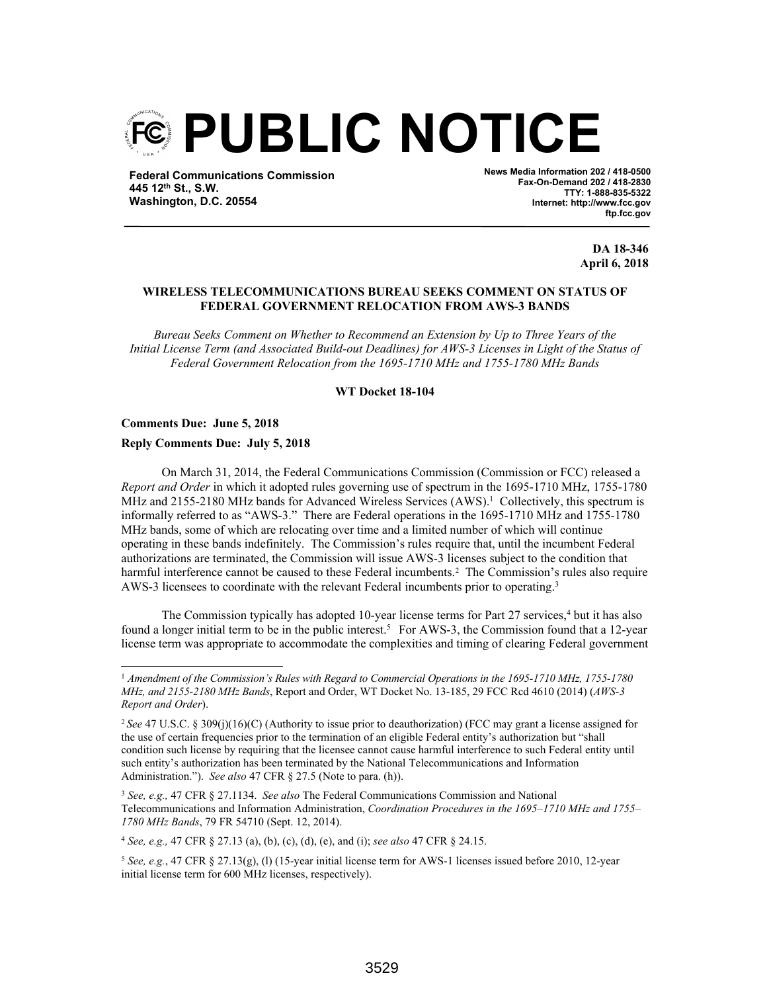

**Federal Communications Commission 445 12th St., S.W. Washington, D.C. 20554**

**News Media Information 202 / 418-0500 Fax-On-Demand 202 / 418-2830 TTY: 1-888-835-5322 Internet: http://www.fcc.gov ftp.fcc.gov**

> **DA 18-346 April 6, 2018**

## **WIRELESS TELECOMMUNICATIONS BUREAU SEEKS COMMENT ON STATUS OF FEDERAL GOVERNMENT RELOCATION FROM AWS-3 BANDS**

*Bureau Seeks Comment on Whether to Recommend an Extension by Up to Three Years of the Initial License Term (and Associated Build-out Deadlines) for AWS-3 Licenses in Light of the Status of Federal Government Relocation from the 1695-1710 MHz and 1755-1780 MHz Bands*

**WT Docket 18-104**

**Comments Due: June 5, 2018**

**Reply Comments Due: July 5, 2018**

On March 31, 2014, the Federal Communications Commission (Commission or FCC) released a *Report and Order* in which it adopted rules governing use of spectrum in the 1695-1710 MHz, 1755-1780 MHz and  $2155-2180$  MHz bands for Advanced Wireless Services  $(AWS)^1$  Collectively, this spectrum is informally referred to as "AWS-3." There are Federal operations in the 1695-1710 MHz and 1755-1780 MHz bands, some of which are relocating over time and a limited number of which will continue operating in these bands indefinitely. The Commission's rules require that, until the incumbent Federal authorizations are terminated, the Commission will issue AWS-3 licenses subject to the condition that harmful interference cannot be caused to these Federal incumbents.<sup>2</sup> The Commission's rules also require AWS-3 licensees to coordinate with the relevant Federal incumbents prior to operating.<sup>3</sup>

The Commission typically has adopted 10-year license terms for Part 27 services,<sup>4</sup> but it has also found a longer initial term to be in the public interest.<sup>5</sup> For AWS-3, the Commission found that a 12-year license term was appropriate to accommodate the complexities and timing of clearing Federal government

<sup>4</sup> *See, e.g.,* 47 CFR § 27.13 (a), (b), (c), (d), (e), and (i); *see also* 47 CFR § 24.15.

<sup>1</sup> *Amendment of the Commission's Rules with Regard to Commercial Operations in the 1695-1710 MHz, 1755-1780 MHz, and 2155-2180 MHz Bands*, Report and Order, WT Docket No. 13-185, 29 FCC Rcd 4610 (2014) (*AWS-3 Report and Order*).

<sup>2</sup> *See* 47 U.S.C. § 309(j)(16)(C) (Authority to issue prior to deauthorization) (FCC may grant a license assigned for the use of certain frequencies prior to the termination of an eligible Federal entity's authorization but "shall condition such license by requiring that the licensee cannot cause harmful interference to such Federal entity until such entity's authorization has been terminated by the National Telecommunications and Information Administration."). *See also* 47 CFR § 27.5 (Note to para. (h)).

<sup>3</sup> *See, e.g.,* 47 CFR § 27.1134. *See also* The Federal Communications Commission and National Telecommunications and Information Administration, *Coordination Procedures in the 1695–1710 MHz and 1755– 1780 MHz Bands*, 79 FR 54710 (Sept. 12, 2014).

<sup>5</sup> *See, e.g.*, 47 CFR § 27.13(g), (l) (15-year initial license term for AWS-1 licenses issued before 2010, 12-year initial license term for 600 MHz licenses, respectively).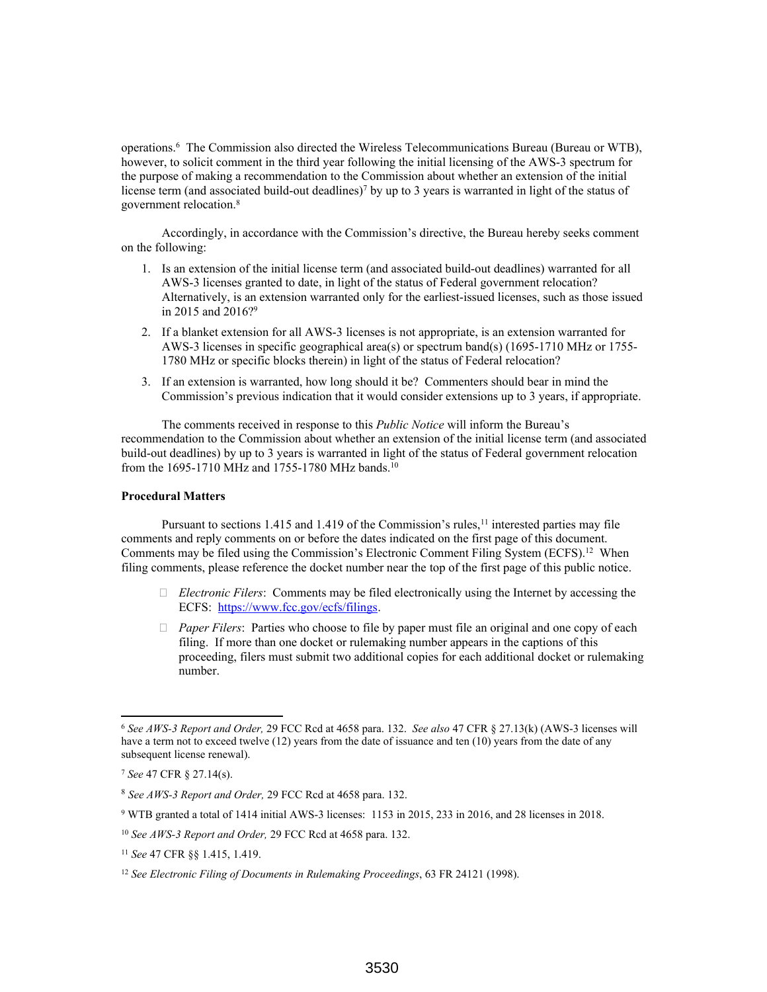operations.<sup>6</sup> The Commission also directed the Wireless Telecommunications Bureau (Bureau or WTB), however, to solicit comment in the third year following the initial licensing of the AWS-3 spectrum for the purpose of making a recommendation to the Commission about whether an extension of the initial license term (and associated build-out deadlines)<sup>7</sup> by up to 3 years is warranted in light of the status of government relocation.<sup>8</sup>

Accordingly, in accordance with the Commission's directive, the Bureau hereby seeks comment on the following:

- 1. Is an extension of the initial license term (and associated build-out deadlines) warranted for all AWS-3 licenses granted to date, in light of the status of Federal government relocation? Alternatively, is an extension warranted only for the earliest-issued licenses, such as those issued in 2015 and 2016?<sup>9</sup>
- 2. If a blanket extension for all AWS-3 licenses is not appropriate, is an extension warranted for AWS-3 licenses in specific geographical area(s) or spectrum band(s) (1695-1710 MHz or 1755- 1780 MHz or specific blocks therein) in light of the status of Federal relocation?
- 3. If an extension is warranted, how long should it be? Commenters should bear in mind the Commission's previous indication that it would consider extensions up to 3 years, if appropriate.

The comments received in response to this *Public Notice* will inform the Bureau's recommendation to the Commission about whether an extension of the initial license term (and associated build-out deadlines) by up to 3 years is warranted in light of the status of Federal government relocation from the 1695-1710 MHz and 1755-1780 MHz bands.<sup>10</sup>

## **Procedural Matters**

Pursuant to sections 1.415 and 1.419 of the Commission's rules,<sup>11</sup> interested parties may file comments and reply comments on or before the dates indicated on the first page of this document. Comments may be filed using the Commission's Electronic Comment Filing System (ECFS).<sup>12</sup> When filing comments, please reference the docket number near the top of the first page of this public notice.

- *Electronic Filers*: Comments may be filed electronically using the Internet by accessing the ECFS: https://www.fcc.gov/ecfs/filings.
- *Paper Filers*: Parties who choose to file by paper must file an original and one copy of each filing. If more than one docket or rulemaking number appears in the captions of this proceeding, filers must submit two additional copies for each additional docket or rulemaking number.

<sup>6</sup> *See AWS-3 Report and Order,* 29 FCC Rcd at 4658 para. 132. *See also* 47 CFR § 27.13(k) (AWS-3 licenses will have a term not to exceed twelve (12) years from the date of issuance and ten (10) years from the date of any subsequent license renewal).

<sup>7</sup> *See* 47 CFR § 27.14(s).

<sup>8</sup> *See AWS-3 Report and Order,* 29 FCC Rcd at 4658 para. 132.

<sup>9</sup> WTB granted a total of 1414 initial AWS-3 licenses: 1153 in 2015, 233 in 2016, and 28 licenses in 2018.

<sup>10</sup> *See AWS-3 Report and Order,* 29 FCC Rcd at 4658 para. 132.

<sup>11</sup> *See* 47 CFR §§ 1.415, 1.419.

<sup>12</sup> *See Electronic Filing of Documents in Rulemaking Proceedings*, 63 FR 24121 (1998).